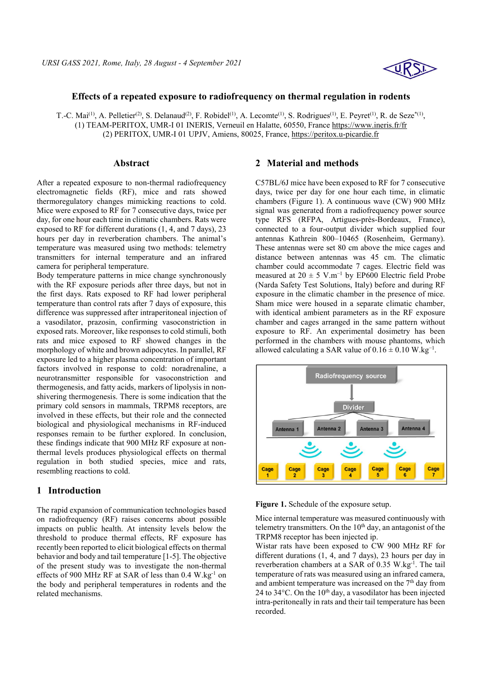

### **Effects of a repeated exposure to radiofrequency on thermal regulation in rodents**

T.-C. Mai<sup>(1)</sup>, A. Pelletier<sup>(2)</sup>, S. Delanaud<sup>(2)</sup>, F. Robidel<sup>(1)</sup>, A. Lecomte<sup>(1)</sup>, S. Rodrigues<sup>(1)</sup>, E. Peyret<sup>(1)</sup>, R. de Seze<sup>\*(1)</sup>, (1) TEAM-PERITOX, UMR-I 01 INERIS, Verneuil en Halatte, 60550, France https://www.ineris.fr/fr (2) PERITOX, UMR-I 01 UPJV, Amiens, 80025, France, https://peritox.u-picardie.fr

#### **Abstract**

After a repeated exposure to non-thermal radiofrequency electromagnetic fields (RF), mice and rats showed thermoregulatory changes mimicking reactions to cold. Mice were exposed to RF for 7 consecutive days, twice per day, for one hour each time in climatic chambers. Rats were exposed to RF for different durations (1, 4, and 7 days), 23 hours per day in reverberation chambers. The animal's temperature was measured using two methods: telemetry transmitters for internal temperature and an infrared camera for peripheral temperature.

Body temperature patterns in mice change synchronously with the RF exposure periods after three days, but not in the first days. Rats exposed to RF had lower peripheral temperature than control rats after 7 days of exposure, this difference was suppressed after intraperitoneal injection of a vasodilator, prazosin, confirming vasoconstriction in exposed rats. Moreover, like responses to cold stimuli, both rats and mice exposed to RF showed changes in the morphology of white and brown adipocytes. In parallel, RF exposure led to a higher plasma concentration of important factors involved in response to cold: noradrenaline, a neurotransmitter responsible for vasoconstriction and thermogenesis, and fatty acids, markers of lipolysis in nonshivering thermogenesis. There is some indication that the primary cold sensors in mammals, TRPM8 receptors, are involved in these effects, but their role and the connected biological and physiological mechanisms in RF-induced responses remain to be further explored. In conclusion, these findings indicate that 900 MHz RF exposure at nonthermal levels produces physiological effects on thermal regulation in both studied species, mice and rats, resembling reactions to cold.

# **1 Introduction**

The rapid expansion of communication technologies based on radiofrequency (RF) raises concerns about possible impacts on public health. At intensity levels below the threshold to produce thermal effects, RF exposure has recently been reported to elicit biological effects on thermal behavior and body and tail temperature [1-5]. The objective of the present study was to investigate the non-thermal effects of 900 MHz RF at SAR of less than 0.4 W.kg<sup>-1</sup> on the body and peripheral temperatures in rodents and the related mechanisms.

# **2 Material and methods**

C57BL/6J mice have been exposed to RF for 7 consecutive days, twice per day for one hour each time, in climatic chambers (Figure 1). A continuous wave (CW) 900 MHz signal was generated from a radiofrequency power source type RFS (RFPA, Artigues-près-Bordeaux, France), connected to a four-output divider which supplied four antennas Kathrein 800–10465 (Rosenheim, Germany). These antennas were set 80 cm above the mice cages and distance between antennas was 45 cm. The climatic chamber could accommodate 7 cages. Electric field was measured at  $20 \pm 5$  V.m<sup>-1</sup> by EP600 Electric field Probe (Narda Safety Test Solutions, Italy) before and during RF exposure in the climatic chamber in the presence of mice. Sham mice were housed in a separate climatic chamber, with identical ambient parameters as in the RF exposure chamber and cages arranged in the same pattern without exposure to RF. An experimental dosimetry has been performed in the chambers with mouse phantoms, which allowed calculating a SAR value of  $0.16 \pm 0.10$  W.kg<sup>-1</sup>.



**Figure 1.** Schedule of the exposure setup.

Mice internal temperature was measured continuously with telemetry transmitters. On the  $10<sup>th</sup>$  day, an antagonist of the TRPM8 receptor has been injected ip.

Wistar rats have been exposed to CW 900 MHz RF for different durations (1, 4, and 7 days), 23 hours per day in reverberation chambers at a SAR of 0.35 W.kg-1. The tail temperature of rats was measured using an infrared camera, and ambient temperature was increased on the  $7<sup>th</sup>$  day from 24 to 34 $\degree$ C. On the 10<sup>th</sup> day, a vasodilator has been injected intra-peritoneally in rats and their tail temperature has been recorded.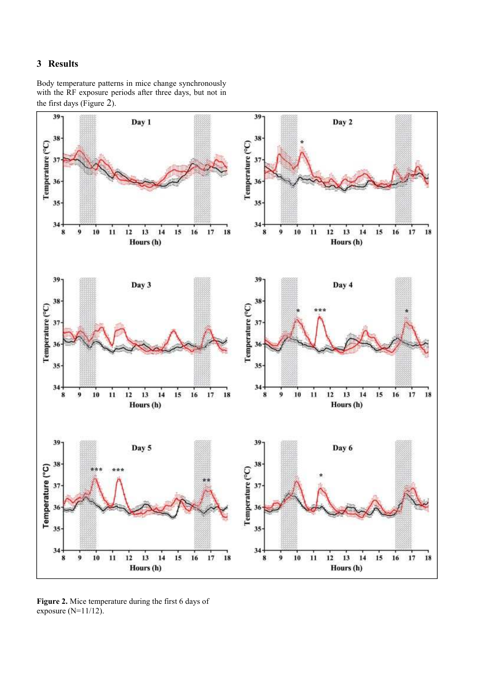# **3 Results**

Body temperature patterns in mice change synchronously with the RF exposure periods after three days, but not in the first days (Figure 2).



**Figure 2.** Mice temperature during the first 6 days of exposure (N=11/12).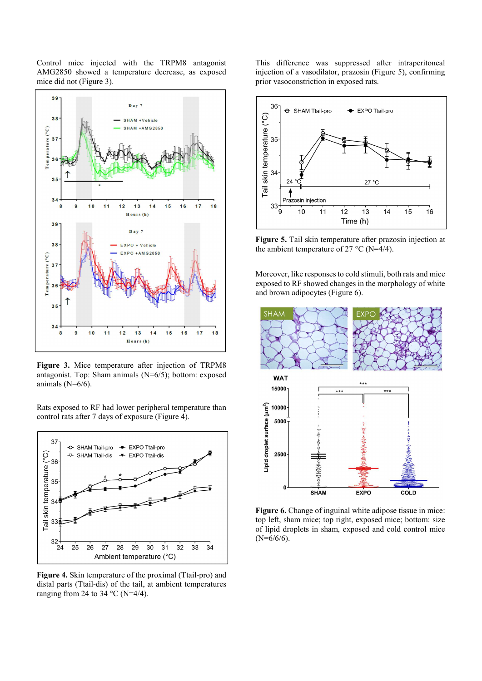Control mice injected with the TRPM8 antagonist AMG2850 showed a temperature decrease, as exposed mice did not (Figure 3).



**Figure 3.** Mice temperature after injection of TRPM8 antagonist. Top: Sham animals (N=6/5); bottom: exposed animals (N=6/6).

Rats exposed to RF had lower peripheral temperature than control rats after 7 days of exposure (Figure 4).



**Figure 4.** Skin temperature of the proximal (Ttail-pro) and distal parts (Ttail-dis) of the tail, at ambient temperatures ranging from 24 to 34  $^{\circ}$ C (N=4/4).

This difference was suppressed after intraperitoneal injection of a vasodilator, prazosin (Figure 5), confirming prior vasoconstriction in exposed rats.



**Figure 5.** Tail skin temperature after prazosin injection at the ambient temperature of 27 °C (N=4/4).

Moreover, like responses to cold stimuli, both rats and mice exposed to RF showed changes in the morphology of white and brown adipocytes (Figure 6).



Figure 6. Change of inguinal white adipose tissue in mice: top left, sham mice; top right, exposed mice; bottom: size of lipid droplets in sham, exposed and cold control mice  $(N=6/6/6)$ .